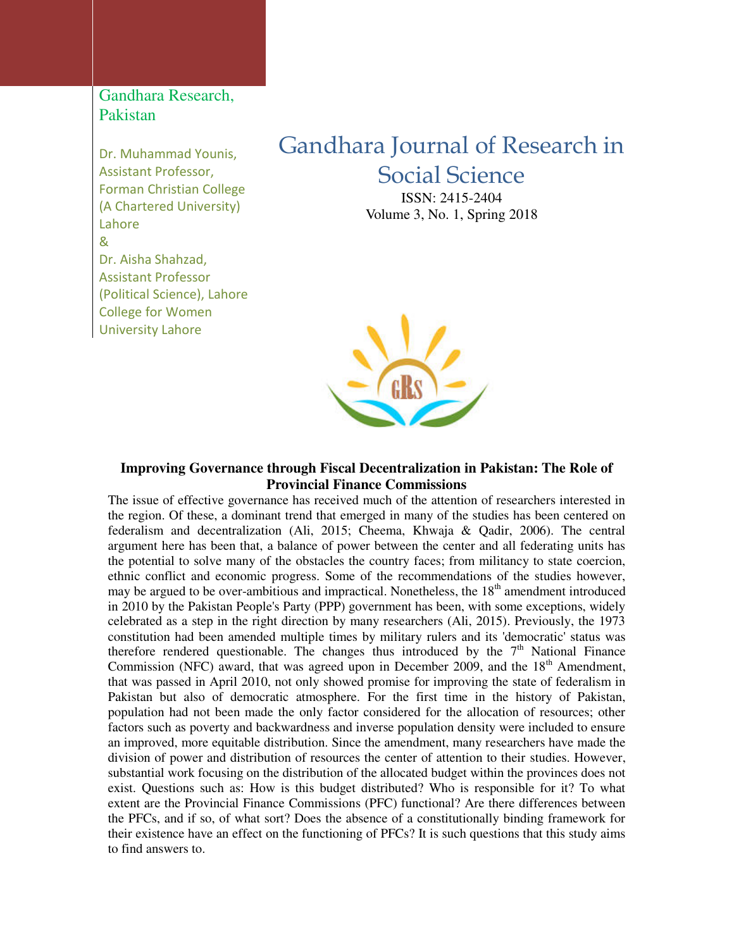## Gandhara Research, Pakistan

Dr. Muhammad Younis, Assistant Professor, Forman Christian College (A Chartered University) Lahore & Dr. Aisha Shahzad, Assistant Professor (Political Science), Lahore College for Women University Lahore

# Gandhara Journal of Research in Social Science

ISSN: 2415-2404 Volume 3, No. 1, Spring 2018



#### **Improving Governance through Fiscal Decentralization in Pakistan: The Role of Provincial Finance Commissions**

The issue of effective governance has received much of the attention of researchers interested in the region. Of these, a dominant trend that emerged in many of the studies has been centered on federalism and decentralization (Ali, 2015; Cheema, Khwaja & Qadir, 2006). The central argument here has been that, a balance of power between the center and all federating units has the potential to solve many of the obstacles the country faces; from militancy to state coercion, ethnic conflict and economic progress. Some of the recommendations of the studies however, may be argued to be over-ambitious and impractical. Nonetheless, the  $18<sup>th</sup>$  amendment introduced in 2010 by the Pakistan People's Party (PPP) government has been, with some exceptions, widely celebrated as a step in the right direction by many researchers (Ali, 2015). Previously, the 1973 constitution had been amended multiple times by military rulers and its 'democratic' status was therefore rendered questionable. The changes thus introduced by the  $7<sup>th</sup>$  National Finance Commission (NFC) award, that was agreed upon in December 2009, and the  $18<sup>th</sup>$  Amendment, that was passed in April 2010, not only showed promise for improving the state of federalism in Pakistan but also of democratic atmosphere. For the first time in the history of Pakistan, population had not been made the only factor considered for the allocation of resources; other factors such as poverty and backwardness and inverse population density were included to ensure an improved, more equitable distribution. Since the amendment, many researchers have made the division of power and distribution of resources the center of attention to their studies. However, substantial work focusing on the distribution of the allocated budget within the provinces does not exist. Questions such as: How is this budget distributed? Who is responsible for it? To what extent are the Provincial Finance Commissions (PFC) functional? Are there differences between the PFCs, and if so, of what sort? Does the absence of a constitutionally binding framework for their existence have an effect on the functioning of PFCs? It is such questions that this study aims to find answers to.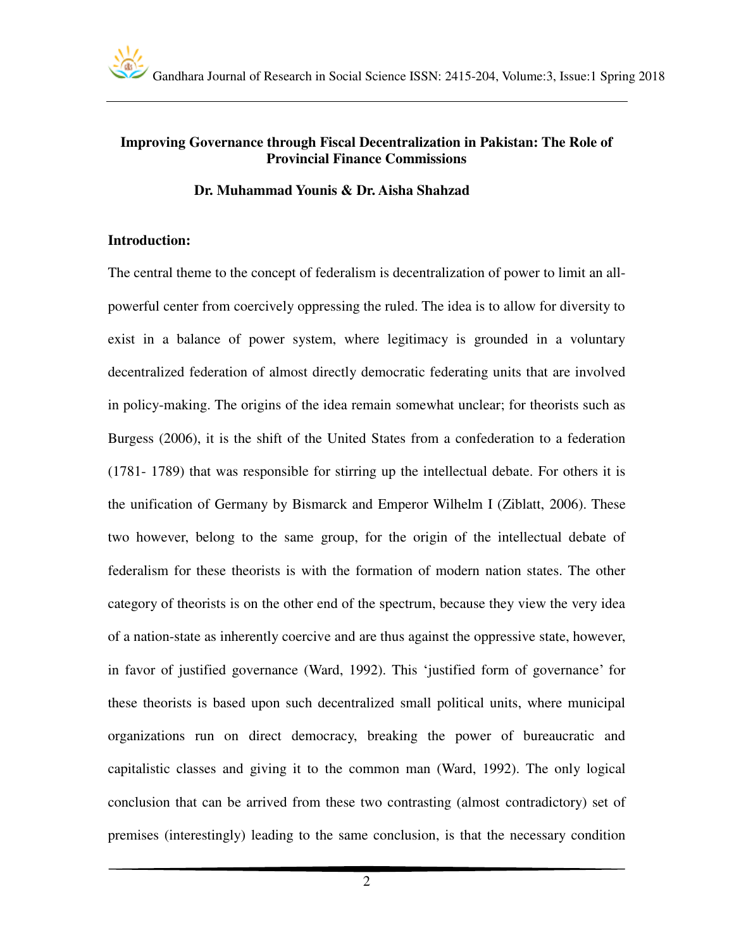

#### **Improving Governance through Fiscal Decentralization in Pakistan: The Role of Provincial Finance Commissions**

#### **Dr. Muhammad Younis & Dr. Aisha Shahzad**

#### **Introduction:**

The central theme to the concept of federalism is decentralization of power to limit an allpowerful center from coercively oppressing the ruled. The idea is to allow for diversity to exist in a balance of power system, where legitimacy is grounded in a voluntary decentralized federation of almost directly democratic federating units that are involved in policy-making. The origins of the idea remain somewhat unclear; for theorists such as Burgess (2006), it is the shift of the United States from a confederation to a federation (1781- 1789) that was responsible for stirring up the intellectual debate. For others it is the unification of Germany by Bismarck and Emperor Wilhelm I (Ziblatt, 2006). These two however, belong to the same group, for the origin of the intellectual debate of federalism for these theorists is with the formation of modern nation states. The other category of theorists is on the other end of the spectrum, because they view the very idea of a nation-state as inherently coercive and are thus against the oppressive state, however, in favor of justified governance (Ward, 1992). This 'justified form of governance' for these theorists is based upon such decentralized small political units, where municipal organizations run on direct democracy, breaking the power of bureaucratic and capitalistic classes and giving it to the common man (Ward, 1992). The only logical conclusion that can be arrived from these two contrasting (almost contradictory) set of premises (interestingly) leading to the same conclusion, is that the necessary condition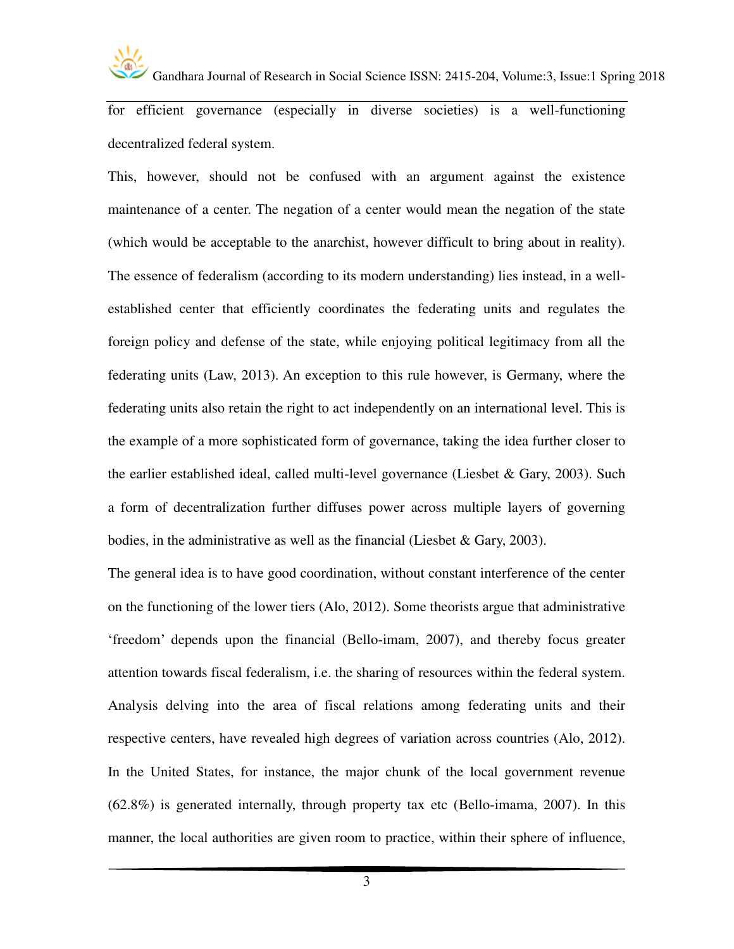

for efficient governance (especially in diverse societies) is a well-functioning decentralized federal system.

This, however, should not be confused with an argument against the existence maintenance of a center. The negation of a center would mean the negation of the state (which would be acceptable to the anarchist, however difficult to bring about in reality). The essence of federalism (according to its modern understanding) lies instead, in a wellestablished center that efficiently coordinates the federating units and regulates the foreign policy and defense of the state, while enjoying political legitimacy from all the federating units (Law, 2013). An exception to this rule however, is Germany, where the federating units also retain the right to act independently on an international level. This is the example of a more sophisticated form of governance, taking the idea further closer to the earlier established ideal, called multi-level governance (Liesbet & Gary, 2003). Such a form of decentralization further diffuses power across multiple layers of governing bodies, in the administrative as well as the financial (Liesbet & Gary, 2003).

The general idea is to have good coordination, without constant interference of the center on the functioning of the lower tiers (Alo, 2012). Some theorists argue that administrative 'freedom' depends upon the financial (Bello-imam, 2007), and thereby focus greater attention towards fiscal federalism, i.e. the sharing of resources within the federal system. Analysis delving into the area of fiscal relations among federating units and their respective centers, have revealed high degrees of variation across countries (Alo, 2012). In the United States, for instance, the major chunk of the local government revenue (62.8%) is generated internally, through property tax etc (Bello-imama, 2007). In this manner, the local authorities are given room to practice, within their sphere of influence,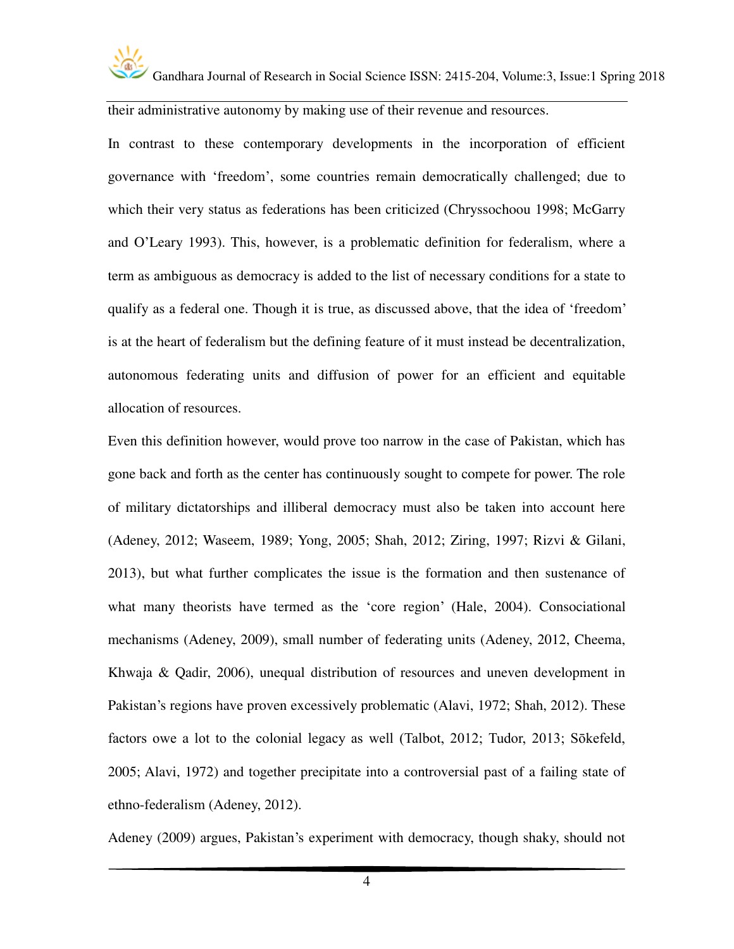

their administrative autonomy by making use of their revenue and resources.

In contrast to these contemporary developments in the incorporation of efficient governance with 'freedom', some countries remain democratically challenged; due to which their very status as federations has been criticized (Chryssochoou 1998; McGarry and O'Leary 1993). This, however, is a problematic definition for federalism, where a term as ambiguous as democracy is added to the list of necessary conditions for a state to qualify as a federal one. Though it is true, as discussed above, that the idea of 'freedom' is at the heart of federalism but the defining feature of it must instead be decentralization, autonomous federating units and diffusion of power for an efficient and equitable allocation of resources.

Even this definition however, would prove too narrow in the case of Pakistan, which has gone back and forth as the center has continuously sought to compete for power. The role of military dictatorships and illiberal democracy must also be taken into account here (Adeney, 2012; Waseem, 1989; Yong, 2005; Shah, 2012; Ziring, 1997; Rizvi & Gilani, 2013), but what further complicates the issue is the formation and then sustenance of what many theorists have termed as the 'core region' (Hale, 2004). Consociational mechanisms (Adeney, 2009), small number of federating units (Adeney, 2012, Cheema, Khwaja & Qadir, 2006), unequal distribution of resources and uneven development in Pakistan's regions have proven excessively problematic (Alavi, 1972; Shah, 2012). These factors owe a lot to the colonial legacy as well (Talbot, 2012; Tudor, 2013; Sōkefeld, 2005; Alavi, 1972) and together precipitate into a controversial past of a failing state of ethno-federalism (Adeney, 2012).

Adeney (2009) argues, Pakistan's experiment with democracy, though shaky, should not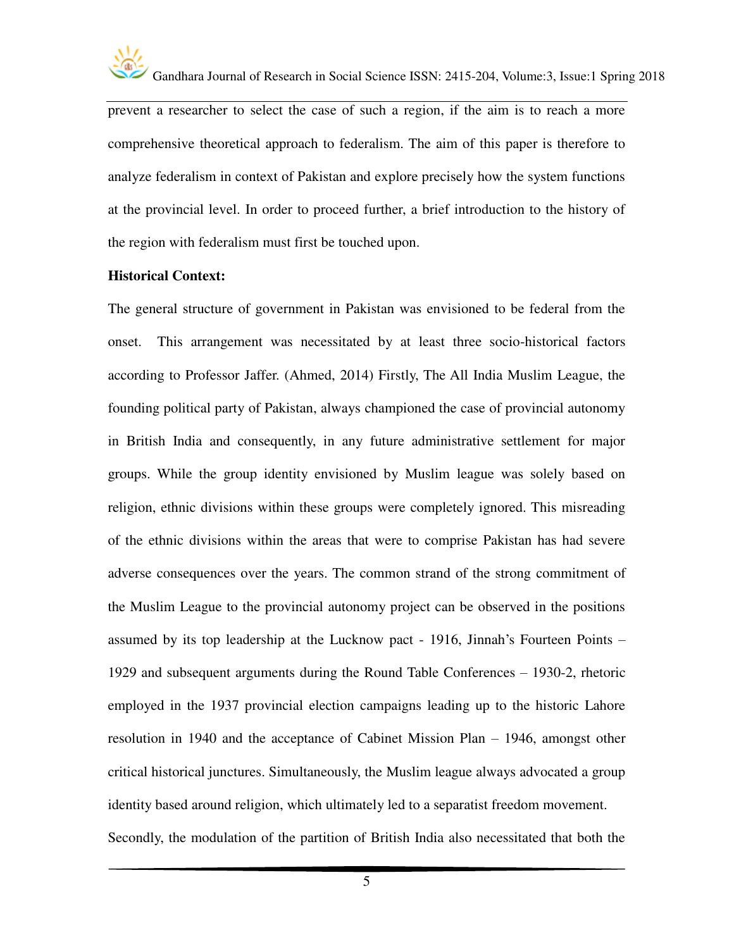

prevent a researcher to select the case of such a region, if the aim is to reach a more comprehensive theoretical approach to federalism. The aim of this paper is therefore to analyze federalism in context of Pakistan and explore precisely how the system functions at the provincial level. In order to proceed further, a brief introduction to the history of the region with federalism must first be touched upon.

#### **Historical Context:**

The general structure of government in Pakistan was envisioned to be federal from the onset. This arrangement was necessitated by at least three socio-historical factors according to Professor Jaffer. (Ahmed, 2014) Firstly, The All India Muslim League, the founding political party of Pakistan, always championed the case of provincial autonomy in British India and consequently, in any future administrative settlement for major groups. While the group identity envisioned by Muslim league was solely based on religion, ethnic divisions within these groups were completely ignored. This misreading of the ethnic divisions within the areas that were to comprise Pakistan has had severe adverse consequences over the years. The common strand of the strong commitment of the Muslim League to the provincial autonomy project can be observed in the positions assumed by its top leadership at the Lucknow pact - 1916, Jinnah's Fourteen Points – 1929 and subsequent arguments during the Round Table Conferences – 1930-2, rhetoric employed in the 1937 provincial election campaigns leading up to the historic Lahore resolution in 1940 and the acceptance of Cabinet Mission Plan – 1946, amongst other critical historical junctures. Simultaneously, the Muslim league always advocated a group identity based around religion, which ultimately led to a separatist freedom movement. Secondly, the modulation of the partition of British India also necessitated that both the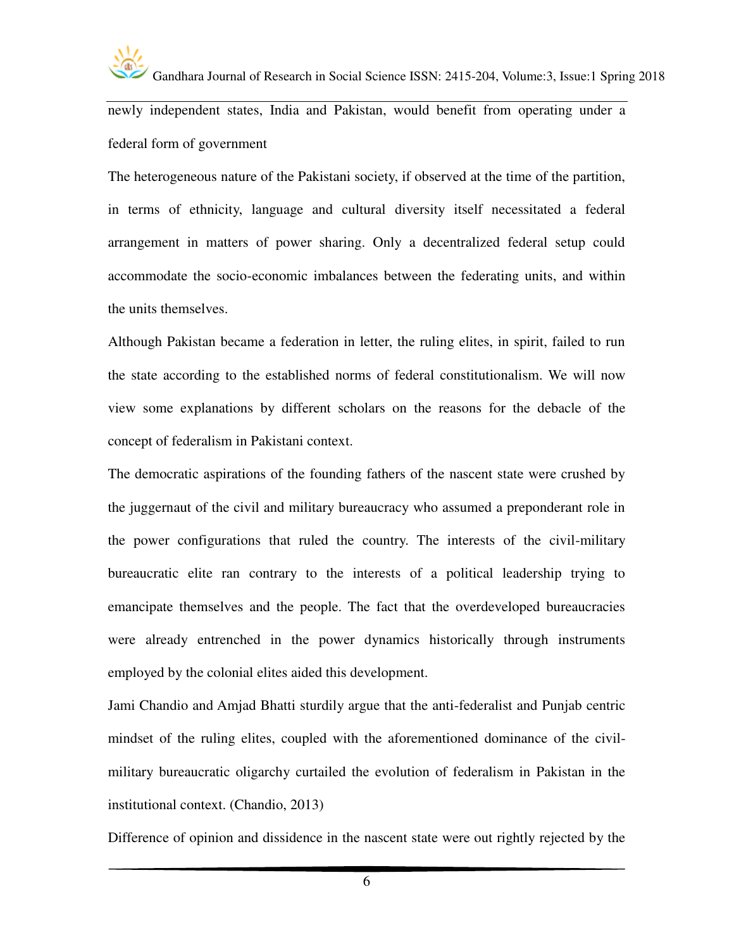

newly independent states, India and Pakistan, would benefit from operating under a federal form of government

The heterogeneous nature of the Pakistani society, if observed at the time of the partition, in terms of ethnicity, language and cultural diversity itself necessitated a federal arrangement in matters of power sharing. Only a decentralized federal setup could accommodate the socio-economic imbalances between the federating units, and within the units themselves.

Although Pakistan became a federation in letter, the ruling elites, in spirit, failed to run the state according to the established norms of federal constitutionalism. We will now view some explanations by different scholars on the reasons for the debacle of the concept of federalism in Pakistani context.

The democratic aspirations of the founding fathers of the nascent state were crushed by the juggernaut of the civil and military bureaucracy who assumed a preponderant role in the power configurations that ruled the country. The interests of the civil-military bureaucratic elite ran contrary to the interests of a political leadership trying to emancipate themselves and the people. The fact that the overdeveloped bureaucracies were already entrenched in the power dynamics historically through instruments employed by the colonial elites aided this development.

Jami Chandio and Amjad Bhatti sturdily argue that the anti-federalist and Punjab centric mindset of the ruling elites, coupled with the aforementioned dominance of the civilmilitary bureaucratic oligarchy curtailed the evolution of federalism in Pakistan in the institutional context. (Chandio, 2013)

Difference of opinion and dissidence in the nascent state were out rightly rejected by the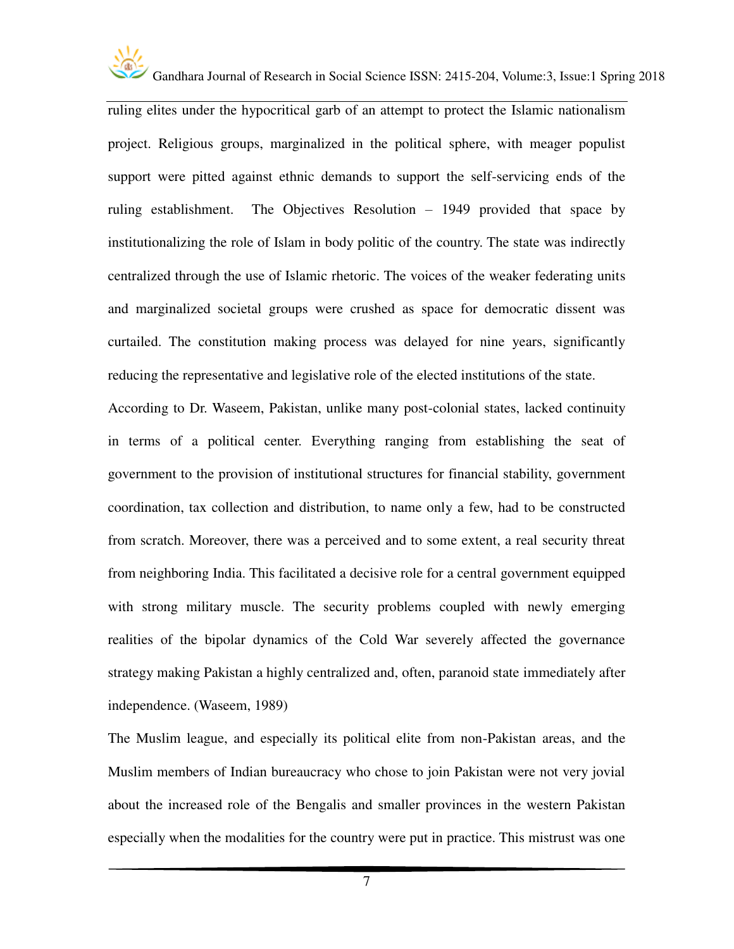

ruling elites under the hypocritical garb of an attempt to protect the Islamic nationalism project. Religious groups, marginalized in the political sphere, with meager populist support were pitted against ethnic demands to support the self-servicing ends of the ruling establishment. The Objectives Resolution – 1949 provided that space by institutionalizing the role of Islam in body politic of the country. The state was indirectly centralized through the use of Islamic rhetoric. The voices of the weaker federating units and marginalized societal groups were crushed as space for democratic dissent was curtailed. The constitution making process was delayed for nine years, significantly reducing the representative and legislative role of the elected institutions of the state.

According to Dr. Waseem, Pakistan, unlike many post-colonial states, lacked continuity in terms of a political center. Everything ranging from establishing the seat of government to the provision of institutional structures for financial stability, government coordination, tax collection and distribution, to name only a few, had to be constructed from scratch. Moreover, there was a perceived and to some extent, a real security threat from neighboring India. This facilitated a decisive role for a central government equipped with strong military muscle. The security problems coupled with newly emerging realities of the bipolar dynamics of the Cold War severely affected the governance strategy making Pakistan a highly centralized and, often, paranoid state immediately after independence. (Waseem, 1989)

The Muslim league, and especially its political elite from non-Pakistan areas, and the Muslim members of Indian bureaucracy who chose to join Pakistan were not very jovial about the increased role of the Bengalis and smaller provinces in the western Pakistan especially when the modalities for the country were put in practice. This mistrust was one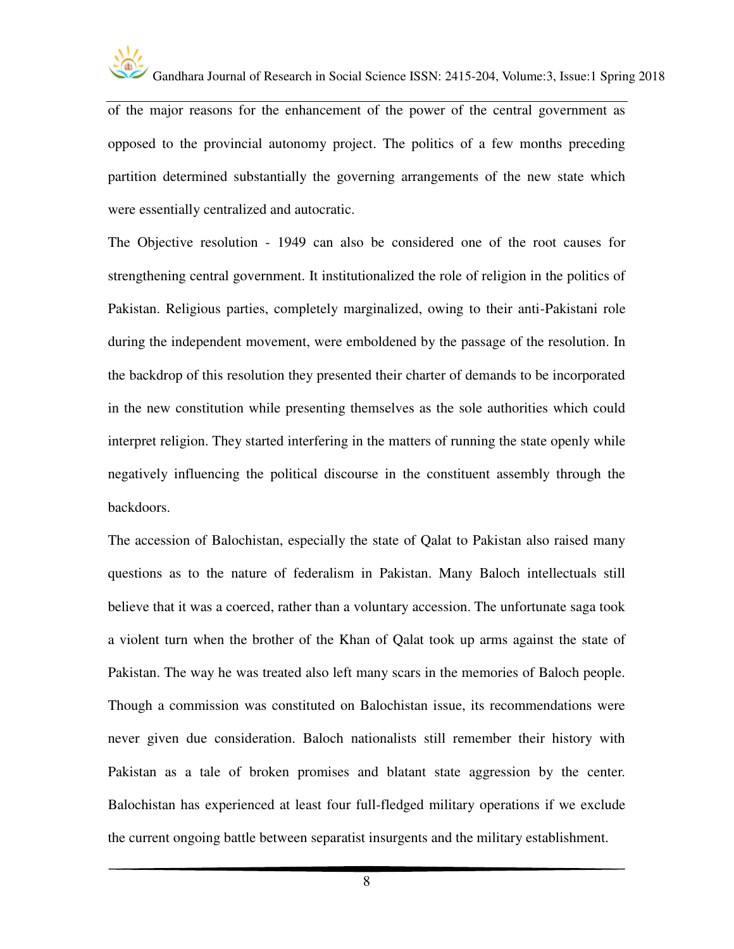

of the major reasons for the enhancement of the power of the central government as opposed to the provincial autonomy project. The politics of a few months preceding partition determined substantially the governing arrangements of the new state which were essentially centralized and autocratic.

The Objective resolution - 1949 can also be considered one of the root causes for strengthening central government. It institutionalized the role of religion in the politics of Pakistan. Religious parties, completely marginalized, owing to their anti-Pakistani role during the independent movement, were emboldened by the passage of the resolution. In the backdrop of this resolution they presented their charter of demands to be incorporated in the new constitution while presenting themselves as the sole authorities which could interpret religion. They started interfering in the matters of running the state openly while negatively influencing the political discourse in the constituent assembly through the backdoors.

The accession of Balochistan, especially the state of Qalat to Pakistan also raised many questions as to the nature of federalism in Pakistan. Many Baloch intellectuals still believe that it was a coerced, rather than a voluntary accession. The unfortunate saga took a violent turn when the brother of the Khan of Qalat took up arms against the state of Pakistan. The way he was treated also left many scars in the memories of Baloch people. Though a commission was constituted on Balochistan issue, its recommendations were never given due consideration. Baloch nationalists still remember their history with Pakistan as a tale of broken promises and blatant state aggression by the center. Balochistan has experienced at least four full-fledged military operations if we exclude the current ongoing battle between separatist insurgents and the military establishment.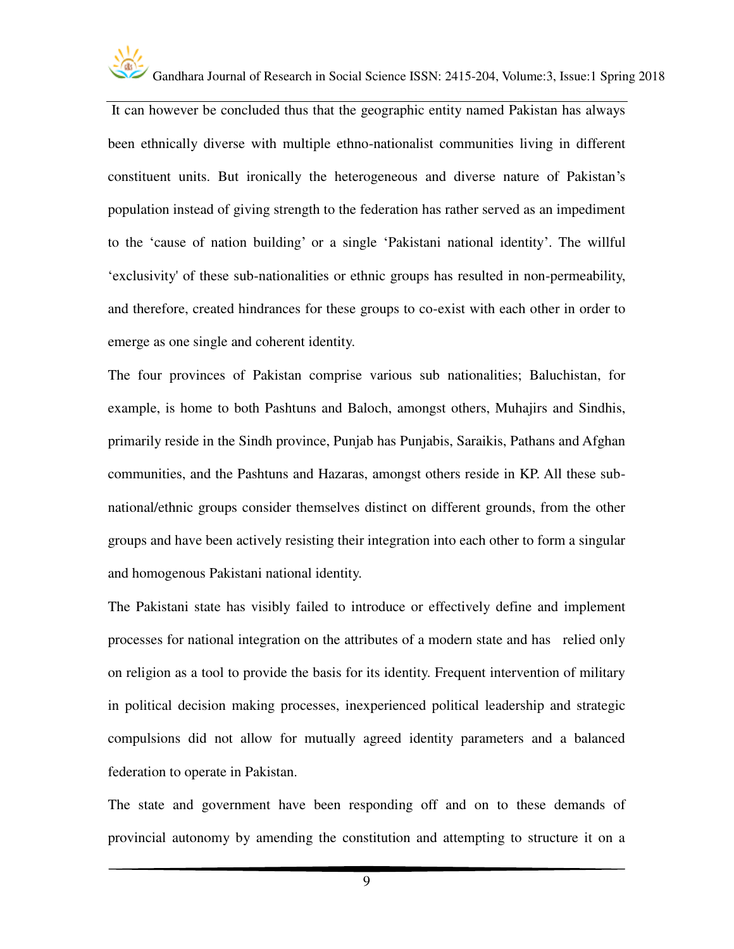

 It can however be concluded thus that the geographic entity named Pakistan has always been ethnically diverse with multiple ethno-nationalist communities living in different constituent units. But ironically the heterogeneous and diverse nature of Pakistan's population instead of giving strength to the federation has rather served as an impediment to the 'cause of nation building' or a single 'Pakistani national identity'. The willful 'exclusivity' of these sub-nationalities or ethnic groups has resulted in non-permeability, and therefore, created hindrances for these groups to co-exist with each other in order to emerge as one single and coherent identity.

The four provinces of Pakistan comprise various sub nationalities; Baluchistan, for example, is home to both Pashtuns and Baloch, amongst others, Muhajirs and Sindhis, primarily reside in the Sindh province, Punjab has Punjabis, Saraikis, Pathans and Afghan communities, and the Pashtuns and Hazaras, amongst others reside in KP. All these subnational/ethnic groups consider themselves distinct on different grounds, from the other groups and have been actively resisting their integration into each other to form a singular and homogenous Pakistani national identity.

The Pakistani state has visibly failed to introduce or effectively define and implement processes for national integration on the attributes of a modern state and has relied only on religion as a tool to provide the basis for its identity. Frequent intervention of military in political decision making processes, inexperienced political leadership and strategic compulsions did not allow for mutually agreed identity parameters and a balanced federation to operate in Pakistan.

The state and government have been responding off and on to these demands of provincial autonomy by amending the constitution and attempting to structure it on a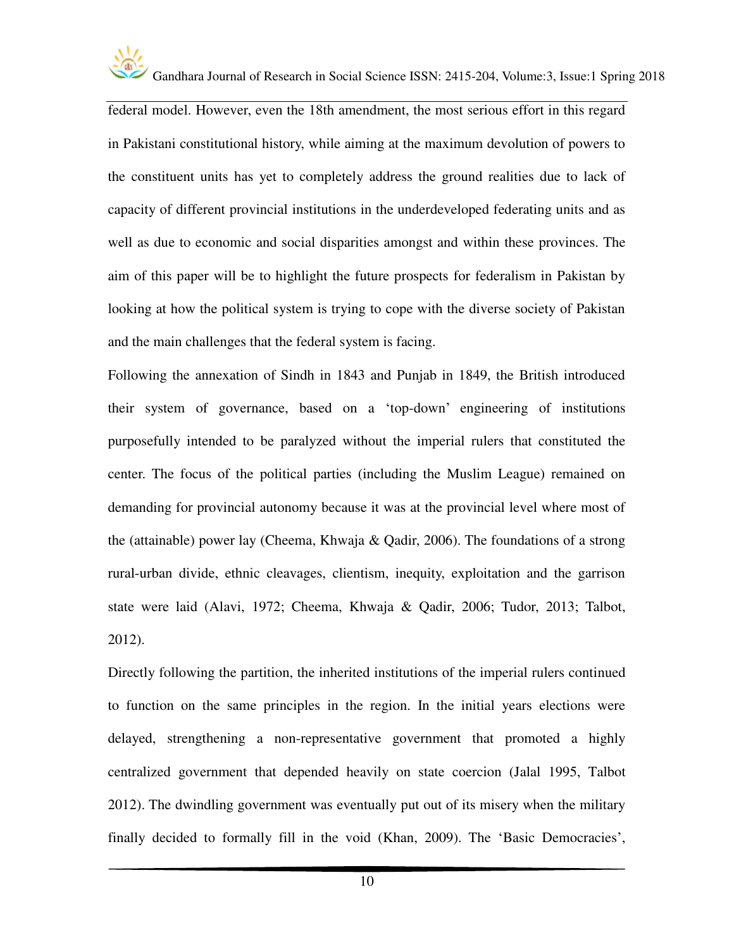

federal model. However, even the 18th amendment, the most serious effort in this regard in Pakistani constitutional history, while aiming at the maximum devolution of powers to the constituent units has yet to completely address the ground realities due to lack of capacity of different provincial institutions in the underdeveloped federating units and as well as due to economic and social disparities amongst and within these provinces. The aim of this paper will be to highlight the future prospects for federalism in Pakistan by looking at how the political system is trying to cope with the diverse society of Pakistan and the main challenges that the federal system is facing.

Following the annexation of Sindh in 1843 and Punjab in 1849, the British introduced their system of governance, based on a 'top-down' engineering of institutions purposefully intended to be paralyzed without the imperial rulers that constituted the center. The focus of the political parties (including the Muslim League) remained on demanding for provincial autonomy because it was at the provincial level where most of the (attainable) power lay (Cheema, Khwaja & Qadir, 2006). The foundations of a strong rural-urban divide, ethnic cleavages, clientism, inequity, exploitation and the garrison state were laid (Alavi, 1972; Cheema, Khwaja & Qadir, 2006; Tudor, 2013; Talbot, 2012).

Directly following the partition, the inherited institutions of the imperial rulers continued to function on the same principles in the region. In the initial years elections were delayed, strengthening a non-representative government that promoted a highly centralized government that depended heavily on state coercion (Jalal 1995, Talbot 2012). The dwindling government was eventually put out of its misery when the military finally decided to formally fill in the void (Khan, 2009). The 'Basic Democracies',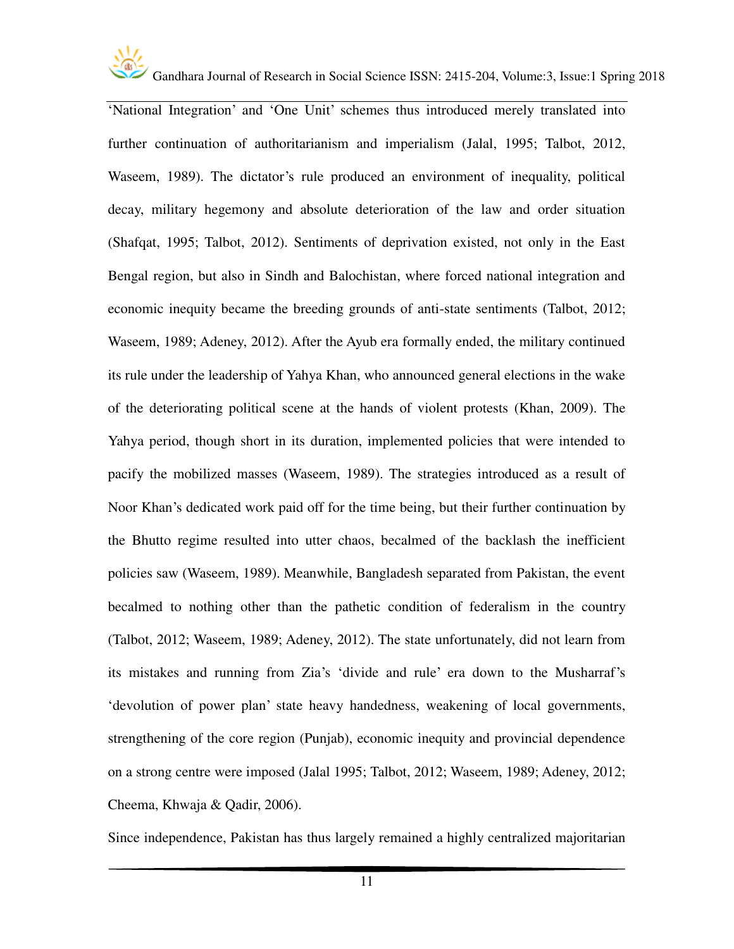

'National Integration' and 'One Unit' schemes thus introduced merely translated into further continuation of authoritarianism and imperialism (Jalal, 1995; Talbot, 2012, Waseem, 1989). The dictator's rule produced an environment of inequality, political decay, military hegemony and absolute deterioration of the law and order situation (Shafqat, 1995; Talbot, 2012). Sentiments of deprivation existed, not only in the East Bengal region, but also in Sindh and Balochistan, where forced national integration and economic inequity became the breeding grounds of anti-state sentiments (Talbot, 2012; Waseem, 1989; Adeney, 2012). After the Ayub era formally ended, the military continued its rule under the leadership of Yahya Khan, who announced general elections in the wake of the deteriorating political scene at the hands of violent protests (Khan, 2009). The Yahya period, though short in its duration, implemented policies that were intended to pacify the mobilized masses (Waseem, 1989). The strategies introduced as a result of Noor Khan's dedicated work paid off for the time being, but their further continuation by the Bhutto regime resulted into utter chaos, becalmed of the backlash the inefficient policies saw (Waseem, 1989). Meanwhile, Bangladesh separated from Pakistan, the event becalmed to nothing other than the pathetic condition of federalism in the country (Talbot, 2012; Waseem, 1989; Adeney, 2012). The state unfortunately, did not learn from its mistakes and running from Zia's 'divide and rule' era down to the Musharraf's 'devolution of power plan' state heavy handedness, weakening of local governments, strengthening of the core region (Punjab), economic inequity and provincial dependence on a strong centre were imposed (Jalal 1995; Talbot, 2012; Waseem, 1989; Adeney, 2012; Cheema, Khwaja & Qadir, 2006).

Since independence, Pakistan has thus largely remained a highly centralized majoritarian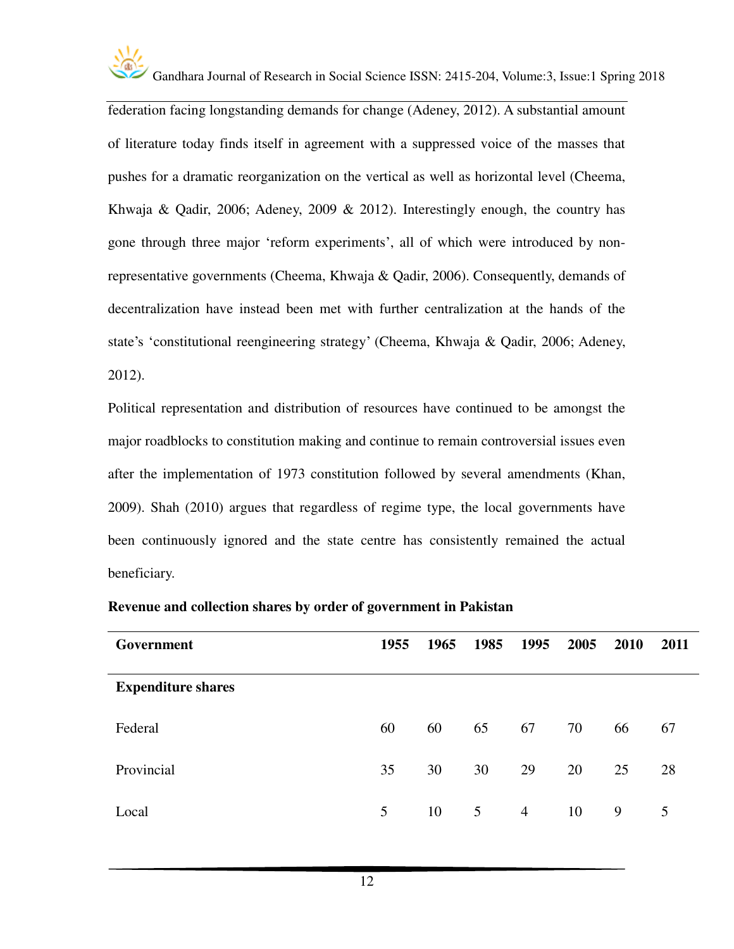

federation facing longstanding demands for change (Adeney, 2012). A substantial amount of literature today finds itself in agreement with a suppressed voice of the masses that pushes for a dramatic reorganization on the vertical as well as horizontal level (Cheema, Khwaja & Qadir, 2006; Adeney, 2009 & 2012). Interestingly enough, the country has gone through three major 'reform experiments', all of which were introduced by nonrepresentative governments (Cheema, Khwaja & Qadir, 2006). Consequently, demands of decentralization have instead been met with further centralization at the hands of the state's 'constitutional reengineering strategy' (Cheema, Khwaja & Qadir, 2006; Adeney, 2012).

Political representation and distribution of resources have continued to be amongst the major roadblocks to constitution making and continue to remain controversial issues even after the implementation of 1973 constitution followed by several amendments (Khan, 2009). Shah (2010) argues that regardless of regime type, the local governments have been continuously ignored and the state centre has consistently remained the actual beneficiary.

| Government                | 1955 | 1965 | 1985 | 1995           | 2005 | <b>2010</b> | 2011 |
|---------------------------|------|------|------|----------------|------|-------------|------|
| <b>Expenditure shares</b> |      |      |      |                |      |             |      |
| Federal                   | 60   | 60   | 65   | 67             | 70   | 66          | 67   |
| Provincial                | 35   | 30   | 30   | 29             | 20   | 25          | 28   |
| Local                     | 5    | 10   | 5    | $\overline{4}$ | 10   | 9           | 5    |

#### **Revenue and collection shares by order of government in Pakistan**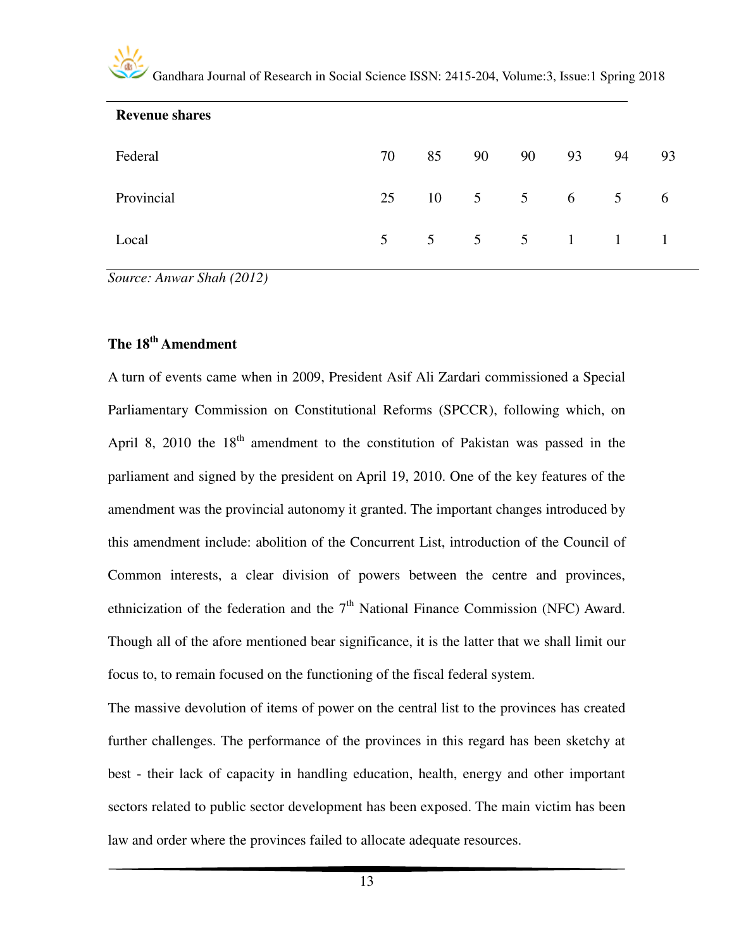| <b>Revenue shares</b> |                |    |                                      |    |    |    |     |
|-----------------------|----------------|----|--------------------------------------|----|----|----|-----|
| Federal               | 70             | 85 | 90                                   | 90 | 93 | 94 | 93  |
| Provincial            | 25             |    | $10 \quad 5 \quad 5 \quad 6 \quad 5$ |    |    |    | - 6 |
| Local                 | 5 <sup>5</sup> |    | 5 5 5 1 1 1                          |    |    |    |     |

*Source: Anwar Shah (2012)* 

### **The 18th Amendment**

A turn of events came when in 2009, President Asif Ali Zardari commissioned a Special Parliamentary Commission on Constitutional Reforms (SPCCR), following which, on April 8, 2010 the  $18<sup>th</sup>$  amendment to the constitution of Pakistan was passed in the parliament and signed by the president on April 19, 2010. One of the key features of the amendment was the provincial autonomy it granted. The important changes introduced by this amendment include: abolition of the Concurrent List, introduction of the Council of Common interests, a clear division of powers between the centre and provinces, ethnicization of the federation and the  $7<sup>th</sup>$  National Finance Commission (NFC) Award. Though all of the afore mentioned bear significance, it is the latter that we shall limit our focus to, to remain focused on the functioning of the fiscal federal system.

The massive devolution of items of power on the central list to the provinces has created further challenges. The performance of the provinces in this regard has been sketchy at best - their lack of capacity in handling education, health, energy and other important sectors related to public sector development has been exposed. The main victim has been law and order where the provinces failed to allocate adequate resources.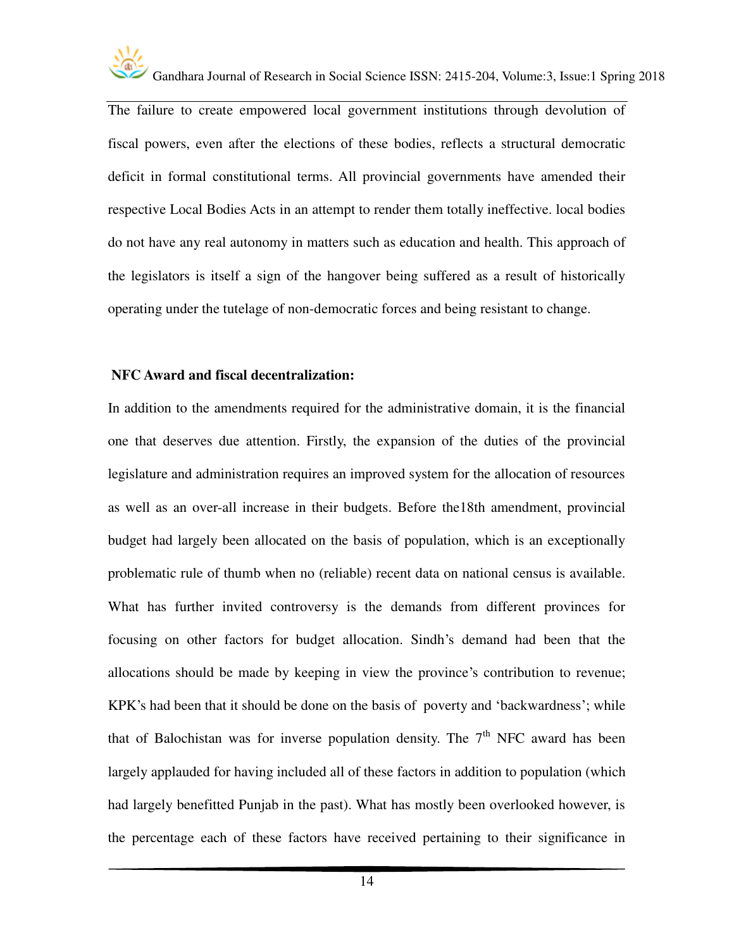

The failure to create empowered local government institutions through devolution of fiscal powers, even after the elections of these bodies, reflects a structural democratic deficit in formal constitutional terms. All provincial governments have amended their respective Local Bodies Acts in an attempt to render them totally ineffective. local bodies do not have any real autonomy in matters such as education and health. This approach of the legislators is itself a sign of the hangover being suffered as a result of historically operating under the tutelage of non-democratic forces and being resistant to change.

#### **NFC Award and fiscal decentralization:**

In addition to the amendments required for the administrative domain, it is the financial one that deserves due attention. Firstly, the expansion of the duties of the provincial legislature and administration requires an improved system for the allocation of resources as well as an over-all increase in their budgets. Before the18th amendment, provincial budget had largely been allocated on the basis of population, which is an exceptionally problematic rule of thumb when no (reliable) recent data on national census is available. What has further invited controversy is the demands from different provinces for focusing on other factors for budget allocation. Sindh's demand had been that the allocations should be made by keeping in view the province's contribution to revenue; KPK's had been that it should be done on the basis of poverty and 'backwardness'; while that of Balochistan was for inverse population density. The  $7<sup>th</sup>$  NFC award has been largely applauded for having included all of these factors in addition to population (which had largely benefitted Punjab in the past). What has mostly been overlooked however, is the percentage each of these factors have received pertaining to their significance in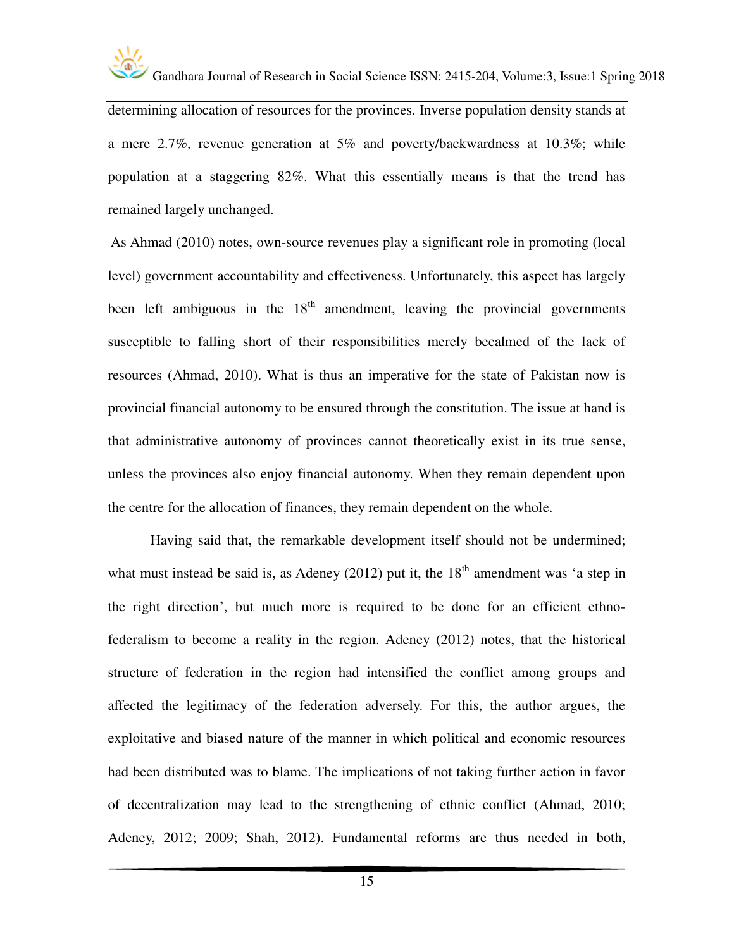

determining allocation of resources for the provinces. Inverse population density stands at a mere 2.7%, revenue generation at 5% and poverty/backwardness at 10.3%; while population at a staggering 82%. What this essentially means is that the trend has remained largely unchanged.

 As Ahmad (2010) notes, own-source revenues play a significant role in promoting (local level) government accountability and effectiveness. Unfortunately, this aspect has largely been left ambiguous in the  $18<sup>th</sup>$  amendment, leaving the provincial governments susceptible to falling short of their responsibilities merely becalmed of the lack of resources (Ahmad, 2010). What is thus an imperative for the state of Pakistan now is provincial financial autonomy to be ensured through the constitution. The issue at hand is that administrative autonomy of provinces cannot theoretically exist in its true sense, unless the provinces also enjoy financial autonomy. When they remain dependent upon the centre for the allocation of finances, they remain dependent on the whole.

Having said that, the remarkable development itself should not be undermined; what must instead be said is, as Adeney (2012) put it, the  $18<sup>th</sup>$  amendment was 'a step in the right direction', but much more is required to be done for an efficient ethnofederalism to become a reality in the region. Adeney (2012) notes, that the historical structure of federation in the region had intensified the conflict among groups and affected the legitimacy of the federation adversely. For this, the author argues, the exploitative and biased nature of the manner in which political and economic resources had been distributed was to blame. The implications of not taking further action in favor of decentralization may lead to the strengthening of ethnic conflict (Ahmad, 2010; Adeney, 2012; 2009; Shah, 2012). Fundamental reforms are thus needed in both,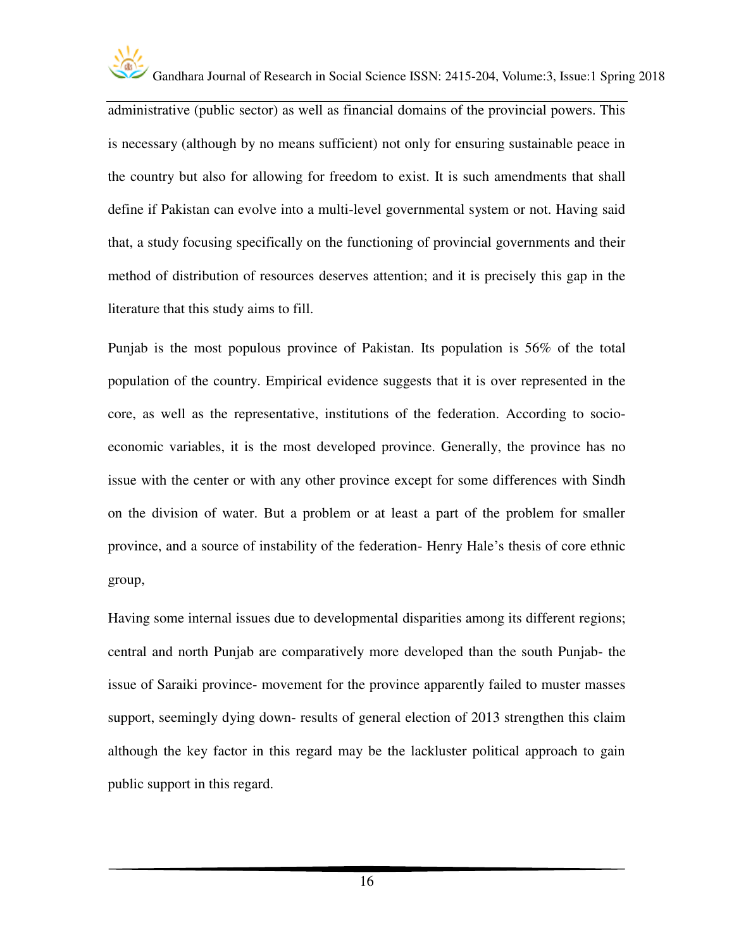

administrative (public sector) as well as financial domains of the provincial powers. This is necessary (although by no means sufficient) not only for ensuring sustainable peace in the country but also for allowing for freedom to exist. It is such amendments that shall define if Pakistan can evolve into a multi-level governmental system or not. Having said that, a study focusing specifically on the functioning of provincial governments and their method of distribution of resources deserves attention; and it is precisely this gap in the literature that this study aims to fill.

Punjab is the most populous province of Pakistan. Its population is 56% of the total population of the country. Empirical evidence suggests that it is over represented in the core, as well as the representative, institutions of the federation. According to socioeconomic variables, it is the most developed province. Generally, the province has no issue with the center or with any other province except for some differences with Sindh on the division of water. But a problem or at least a part of the problem for smaller province, and a source of instability of the federation- Henry Hale's thesis of core ethnic group,

Having some internal issues due to developmental disparities among its different regions; central and north Punjab are comparatively more developed than the south Punjab- the issue of Saraiki province- movement for the province apparently failed to muster masses support, seemingly dying down- results of general election of 2013 strengthen this claim although the key factor in this regard may be the lackluster political approach to gain public support in this regard.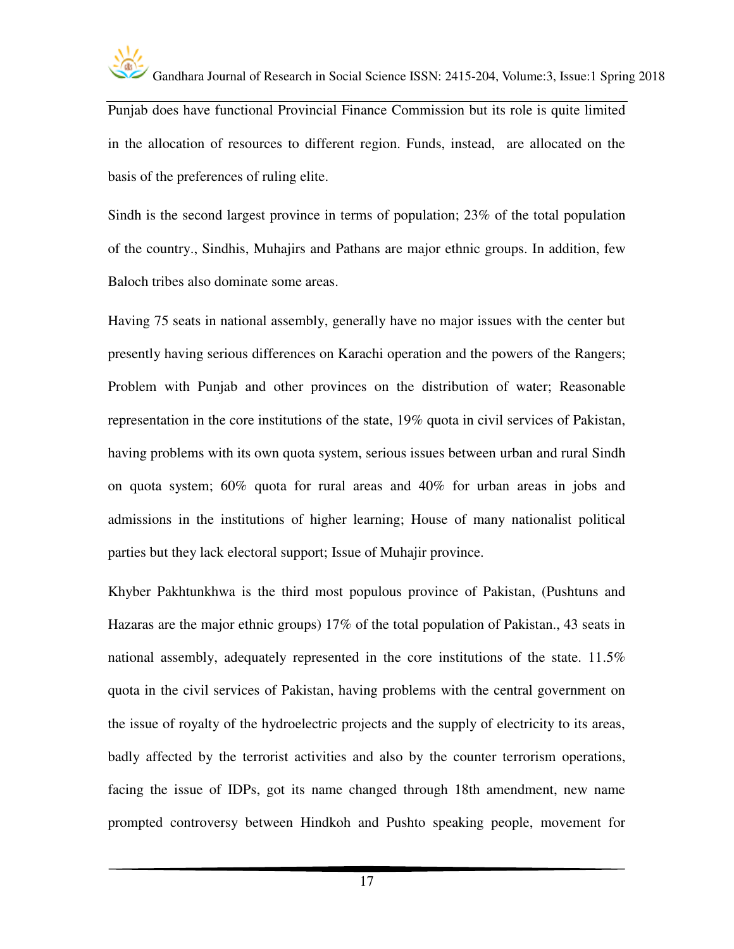

Punjab does have functional Provincial Finance Commission but its role is quite limited in the allocation of resources to different region. Funds, instead, are allocated on the basis of the preferences of ruling elite.

Sindh is the second largest province in terms of population; 23% of the total population of the country., Sindhis, Muhajirs and Pathans are major ethnic groups. In addition, few Baloch tribes also dominate some areas.

Having 75 seats in national assembly, generally have no major issues with the center but presently having serious differences on Karachi operation and the powers of the Rangers; Problem with Punjab and other provinces on the distribution of water; Reasonable representation in the core institutions of the state, 19% quota in civil services of Pakistan, having problems with its own quota system, serious issues between urban and rural Sindh on quota system; 60% quota for rural areas and 40% for urban areas in jobs and admissions in the institutions of higher learning; House of many nationalist political parties but they lack electoral support; Issue of Muhajir province.

Khyber Pakhtunkhwa is the third most populous province of Pakistan, (Pushtuns and Hazaras are the major ethnic groups) 17% of the total population of Pakistan., 43 seats in national assembly, adequately represented in the core institutions of the state. 11.5% quota in the civil services of Pakistan, having problems with the central government on the issue of royalty of the hydroelectric projects and the supply of electricity to its areas, badly affected by the terrorist activities and also by the counter terrorism operations, facing the issue of IDPs, got its name changed through 18th amendment, new name prompted controversy between Hindkoh and Pushto speaking people, movement for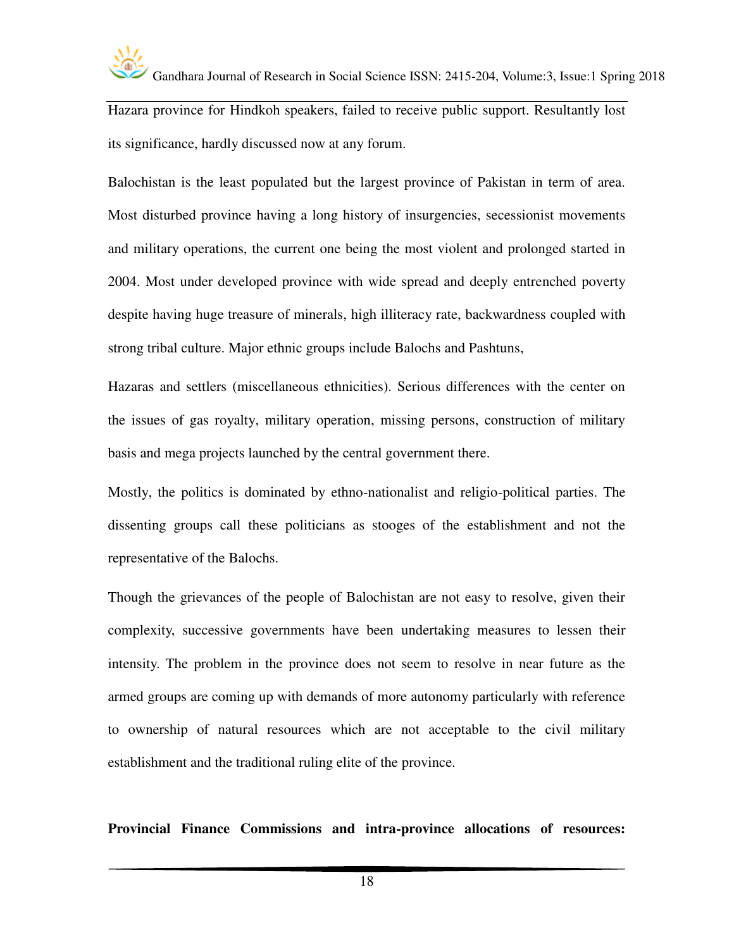

Hazara province for Hindkoh speakers, failed to receive public support. Resultantly lost its significance, hardly discussed now at any forum.

Balochistan is the least populated but the largest province of Pakistan in term of area. Most disturbed province having a long history of insurgencies, secessionist movements and military operations, the current one being the most violent and prolonged started in 2004. Most under developed province with wide spread and deeply entrenched poverty despite having huge treasure of minerals, high illiteracy rate, backwardness coupled with strong tribal culture. Major ethnic groups include Balochs and Pashtuns,

Hazaras and settlers (miscellaneous ethnicities). Serious differences with the center on the issues of gas royalty, military operation, missing persons, construction of military basis and mega projects launched by the central government there.

Mostly, the politics is dominated by ethno-nationalist and religio-political parties. The dissenting groups call these politicians as stooges of the establishment and not the representative of the Balochs.

Though the grievances of the people of Balochistan are not easy to resolve, given their complexity, successive governments have been undertaking measures to lessen their intensity. The problem in the province does not seem to resolve in near future as the armed groups are coming up with demands of more autonomy particularly with reference to ownership of natural resources which are not acceptable to the civil military establishment and the traditional ruling elite of the province.

**Provincial Finance Commissions and intra-province allocations of resources:**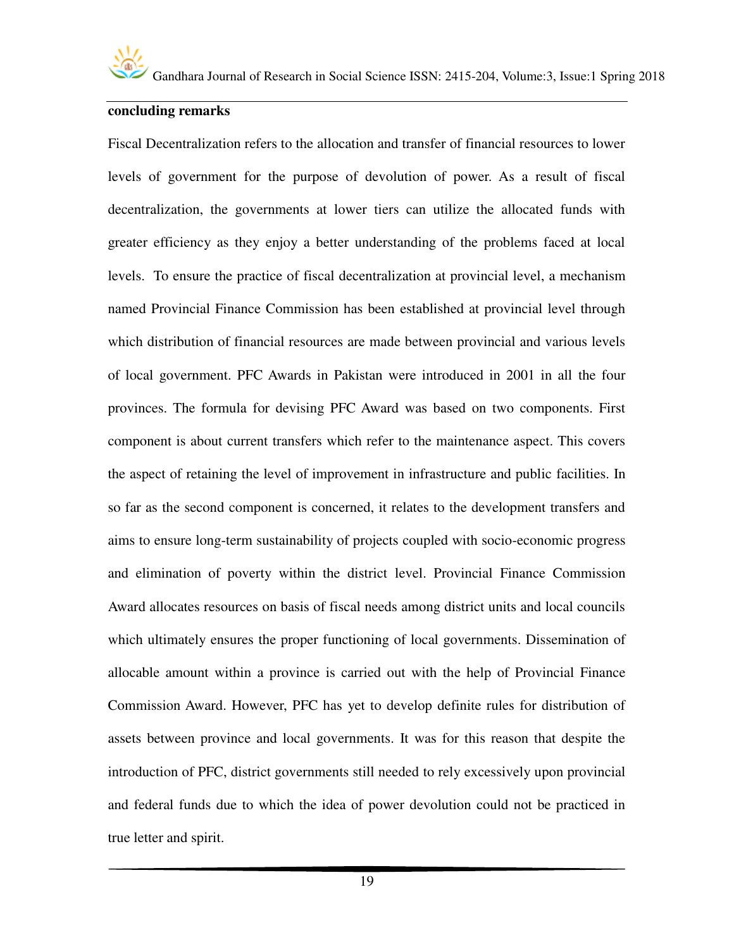

#### **concluding remarks**

Fiscal Decentralization refers to the allocation and transfer of financial resources to lower levels of government for the purpose of devolution of power. As a result of fiscal decentralization, the governments at lower tiers can utilize the allocated funds with greater efficiency as they enjoy a better understanding of the problems faced at local levels. To ensure the practice of fiscal decentralization at provincial level, a mechanism named Provincial Finance Commission has been established at provincial level through which distribution of financial resources are made between provincial and various levels of local government. PFC Awards in Pakistan were introduced in 2001 in all the four provinces. The formula for devising PFC Award was based on two components. First component is about current transfers which refer to the maintenance aspect. This covers the aspect of retaining the level of improvement in infrastructure and public facilities. In so far as the second component is concerned, it relates to the development transfers and aims to ensure long-term sustainability of projects coupled with socio-economic progress and elimination of poverty within the district level. Provincial Finance Commission Award allocates resources on basis of fiscal needs among district units and local councils which ultimately ensures the proper functioning of local governments. Dissemination of allocable amount within a province is carried out with the help of Provincial Finance Commission Award. However, PFC has yet to develop definite rules for distribution of assets between province and local governments. It was for this reason that despite the introduction of PFC, district governments still needed to rely excessively upon provincial and federal funds due to which the idea of power devolution could not be practiced in true letter and spirit.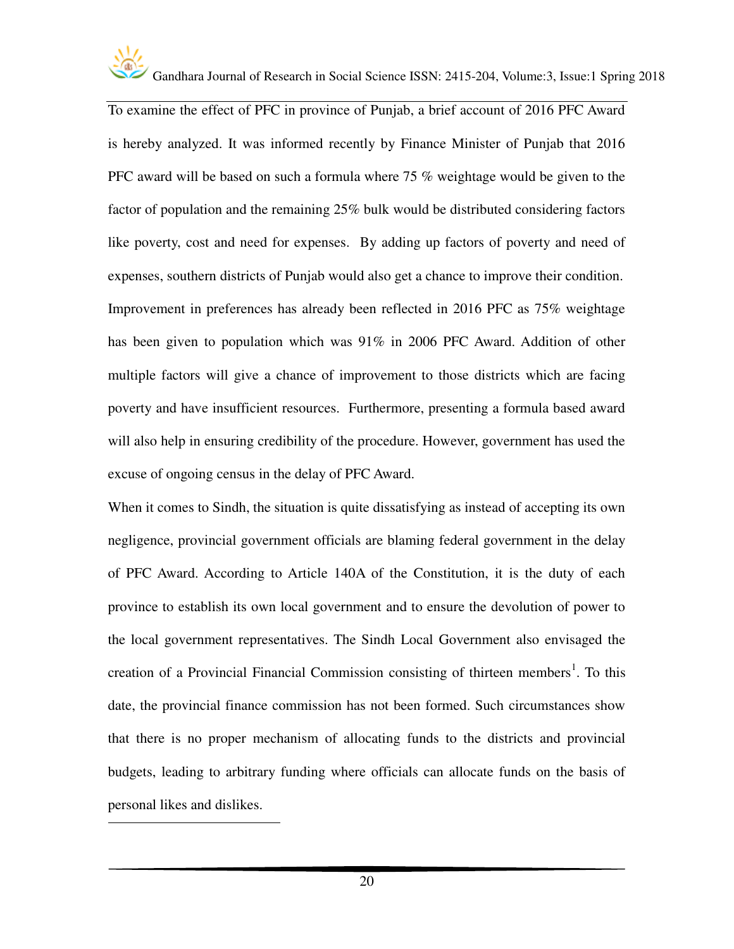

 $\overline{a}$ 

Gandhara Journal of Research in Social Science ISSN: 2415-204, Volume:3, Issue:1 Spring 2018

To examine the effect of PFC in province of Punjab, a brief account of 2016 PFC Award is hereby analyzed. It was informed recently by Finance Minister of Punjab that 2016 PFC award will be based on such a formula where 75 % weightage would be given to the factor of population and the remaining 25% bulk would be distributed considering factors like poverty, cost and need for expenses. By adding up factors of poverty and need of expenses, southern districts of Punjab would also get a chance to improve their condition. Improvement in preferences has already been reflected in 2016 PFC as 75% weightage has been given to population which was 91% in 2006 PFC Award. Addition of other multiple factors will give a chance of improvement to those districts which are facing poverty and have insufficient resources. Furthermore, presenting a formula based award will also help in ensuring credibility of the procedure. However, government has used the excuse of ongoing census in the delay of PFC Award.

When it comes to Sindh, the situation is quite dissatisfying as instead of accepting its own negligence, provincial government officials are blaming federal government in the delay of PFC Award. According to Article 140A of the Constitution, it is the duty of each province to establish its own local government and to ensure the devolution of power to the local government representatives. The Sindh Local Government also envisaged the creation of a Provincial Financial Commission consisting of thirteen members<sup>1</sup>. To this date, the provincial finance commission has not been formed. Such circumstances show that there is no proper mechanism of allocating funds to the districts and provincial budgets, leading to arbitrary funding where officials can allocate funds on the basis of personal likes and dislikes.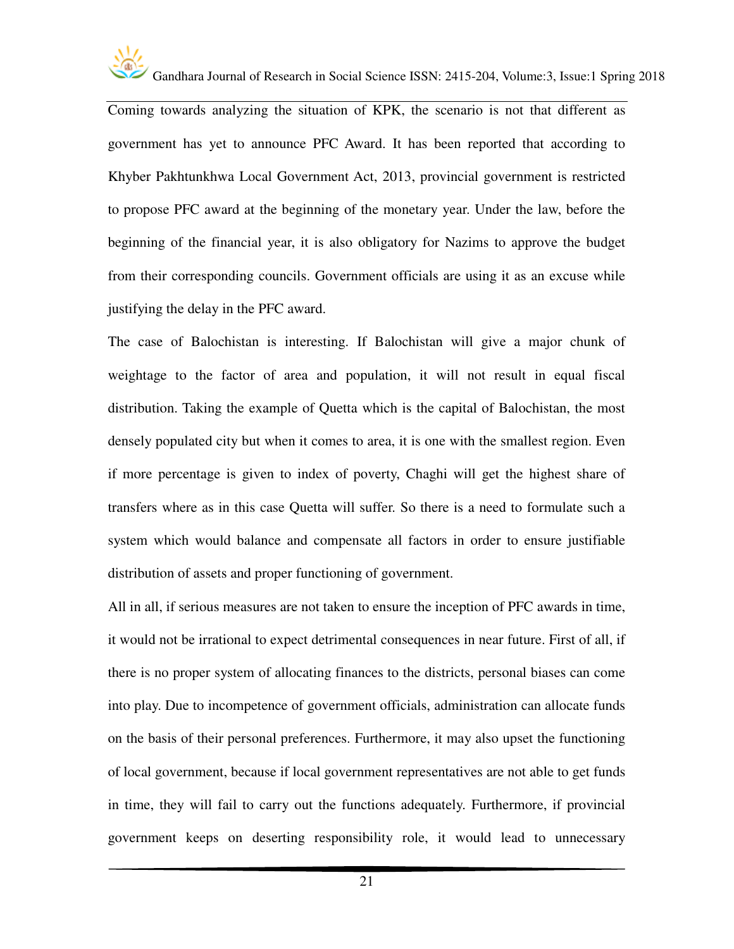

Coming towards analyzing the situation of KPK, the scenario is not that different as government has yet to announce PFC Award. It has been reported that according to Khyber Pakhtunkhwa Local Government Act, 2013, provincial government is restricted to propose PFC award at the beginning of the monetary year. Under the law, before the beginning of the financial year, it is also obligatory for Nazims to approve the budget from their corresponding councils. Government officials are using it as an excuse while justifying the delay in the PFC award.

The case of Balochistan is interesting. If Balochistan will give a major chunk of weightage to the factor of area and population, it will not result in equal fiscal distribution. Taking the example of Quetta which is the capital of Balochistan, the most densely populated city but when it comes to area, it is one with the smallest region. Even if more percentage is given to index of poverty, Chaghi will get the highest share of transfers where as in this case Quetta will suffer. So there is a need to formulate such a system which would balance and compensate all factors in order to ensure justifiable distribution of assets and proper functioning of government.

All in all, if serious measures are not taken to ensure the inception of PFC awards in time, it would not be irrational to expect detrimental consequences in near future. First of all, if there is no proper system of allocating finances to the districts, personal biases can come into play. Due to incompetence of government officials, administration can allocate funds on the basis of their personal preferences. Furthermore, it may also upset the functioning of local government, because if local government representatives are not able to get funds in time, they will fail to carry out the functions adequately. Furthermore, if provincial government keeps on deserting responsibility role, it would lead to unnecessary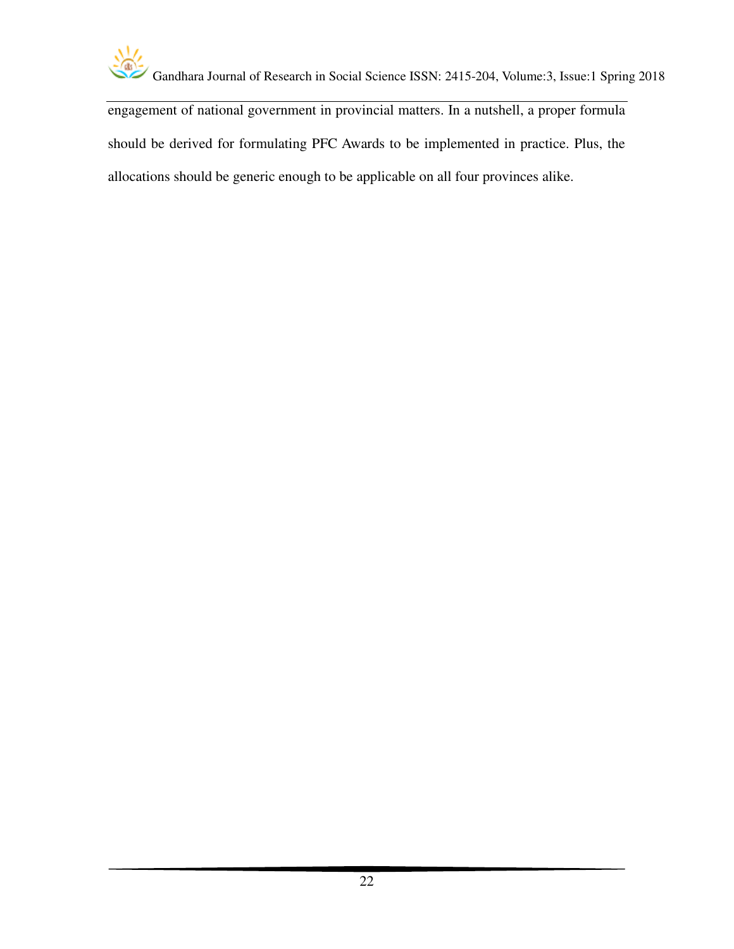

engagement of national government in provincial matters. In a nutshell, a proper formula should be derived for formulating PFC Awards to be implemented in practice. Plus, the allocations should be generic enough to be applicable on all four provinces alike.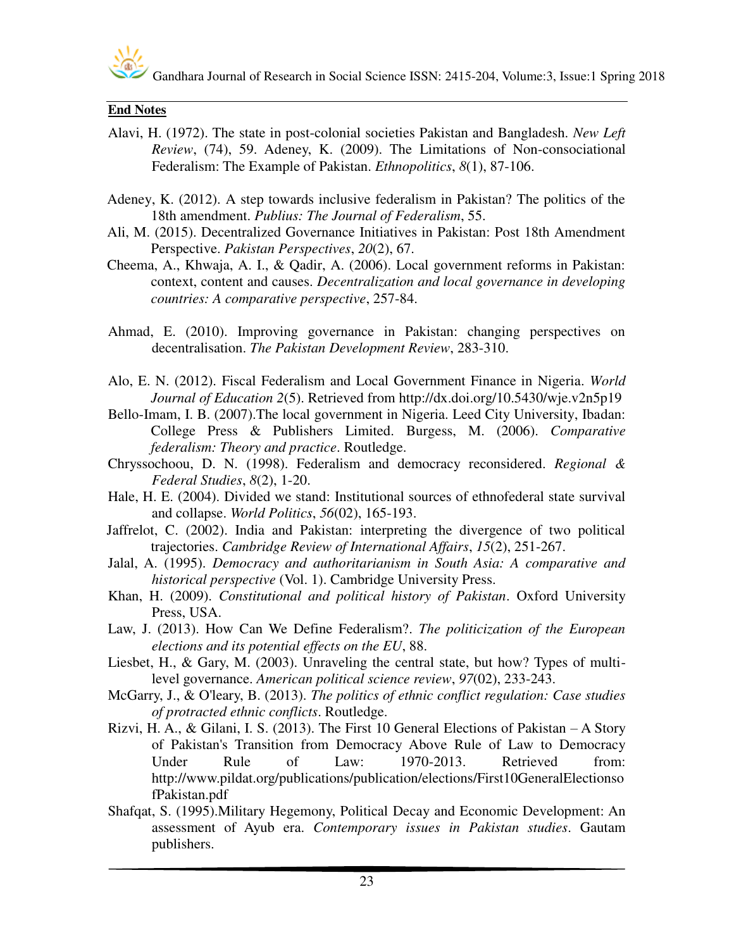

#### **End Notes**

- Alavi, H. (1972). The state in post-colonial societies Pakistan and Bangladesh. *New Left Review*, (74), 59. Adeney, K. (2009). The Limitations of Non-consociational Federalism: The Example of Pakistan. *Ethnopolitics*, *8*(1), 87-106.
- Adeney, K. (2012). A step towards inclusive federalism in Pakistan? The politics of the 18th amendment. *Publius: The Journal of Federalism*, 55.
- Ali, M. (2015). Decentralized Governance Initiatives in Pakistan: Post 18th Amendment Perspective. *Pakistan Perspectives*, *20*(2), 67.
- Cheema, A., Khwaja, A. I., & Qadir, A. (2006). Local government reforms in Pakistan: context, content and causes. *Decentralization and local governance in developing countries: A comparative perspective*, 257-84.
- Ahmad, E. (2010). Improving governance in Pakistan: changing perspectives on decentralisation. *The Pakistan Development Review*, 283-310.
- Alo, E. N. (2012). Fiscal Federalism and Local Government Finance in Nigeria. *World Journal of Education 2*(5). Retrieved from http://dx.doi.org/10.5430/wje.v2n5p19
- Bello-Imam, I. B. (2007).The local government in Nigeria. Leed City University, Ibadan: College Press & Publishers Limited. Burgess, M. (2006). *Comparative federalism: Theory and practice*. Routledge.
- Chryssochoou, D. N. (1998). Federalism and democracy reconsidered. *Regional & Federal Studies*, *8*(2), 1-20.
- Hale, H. E. (2004). Divided we stand: Institutional sources of ethnofederal state survival and collapse. *World Politics*, *56*(02), 165-193.
- Jaffrelot, C. (2002). India and Pakistan: interpreting the divergence of two political trajectories. *Cambridge Review of International Affairs*, *15*(2), 251-267.
- Jalal, A. (1995). *Democracy and authoritarianism in South Asia: A comparative and historical perspective* (Vol. 1). Cambridge University Press.
- Khan, H. (2009). *Constitutional and political history of Pakistan*. Oxford University Press, USA.
- Law, J. (2013). How Can We Define Federalism?. *The politicization of the European elections and its potential effects on the EU*, 88.
- Liesbet, H., & Gary, M. (2003). Unraveling the central state, but how? Types of multilevel governance. *American political science review*, *97*(02), 233-243.
- McGarry, J., & O'leary, B. (2013). *The politics of ethnic conflict regulation: Case studies of protracted ethnic conflicts*. Routledge.
- Rizvi, H. A., & Gilani, I. S. (2013). The First 10 General Elections of Pakistan A Story of Pakistan's Transition from Democracy Above Rule of Law to Democracy Under Rule of Law: 1970-2013. Retrieved from: http://www.pildat.org/publications/publication/elections/First10GeneralElectionso fPakistan.pdf
- Shafqat, S. (1995).Military Hegemony, Political Decay and Economic Development: An assessment of Ayub era. *Contemporary issues in Pakistan studies*. Gautam publishers.